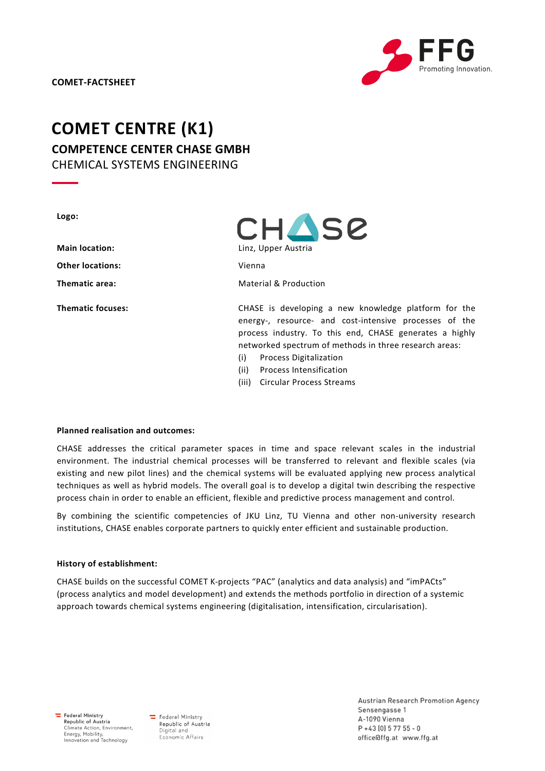

# COMET CENTRE (K1) COMPETENCE CENTER CHASE GMBH CHEMICAL SYSTEMS ENGINEERING

| Logo:                    | <b>CHASE</b>                                                                                                                                                                                                                                                                                                          |
|--------------------------|-----------------------------------------------------------------------------------------------------------------------------------------------------------------------------------------------------------------------------------------------------------------------------------------------------------------------|
| <b>Main location:</b>    | Linz, Upper Austria                                                                                                                                                                                                                                                                                                   |
| <b>Other locations:</b>  | Vienna                                                                                                                                                                                                                                                                                                                |
| Thematic area:           | Material & Production                                                                                                                                                                                                                                                                                                 |
| <b>Thematic focuses:</b> | CHASE is developing a new knowledge platform for the<br>energy-, resource- and cost-intensive processes of the<br>process industry. To this end, CHASE generates a highly<br>networked spectrum of methods in three research areas:<br>(i)<br><b>Process Digitalization</b><br>(ii)<br><b>Process Intensification</b> |

(iii) Circular Process Streams

# Planned realisation and outcomes:

CHASE addresses the critical parameter spaces in time and space relevant scales in the industrial environment. The industrial chemical processes will be transferred to relevant and flexible scales (via existing and new pilot lines) and the chemical systems will be evaluated applying new process analytical techniques as well as hybrid models. The overall goal is to develop a digital twin describing the respective process chain in order to enable an efficient, flexible and predictive process management and control.

By combining the scientific competencies of JKU Linz, TU Vienna and other non-university research institutions, CHASE enables corporate partners to quickly enter efficient and sustainable production.

# History of establishment:

CHASE builds on the successful COMET K-projects "PAC" (analytics and data analysis) and "imPACts" (process analytics and model development) and extends the methods portfolio in direction of a systemic approach towards chemical systems engineering (digitalisation, intensification, circularisation).

 $E$  Federal Ministry Republic of Austria<br>Climate Action, Environment, Energy, Mobility,<br>Innovation and Technology

Federal Ministry Republic of Austria Digital and Economic Affairs

Austrian Research Promotion Agency Sensengasse 1 A-1090 Vienna  $P + 43[0]$  5 77 55 - 0 office@ffg.at www.ffg.at